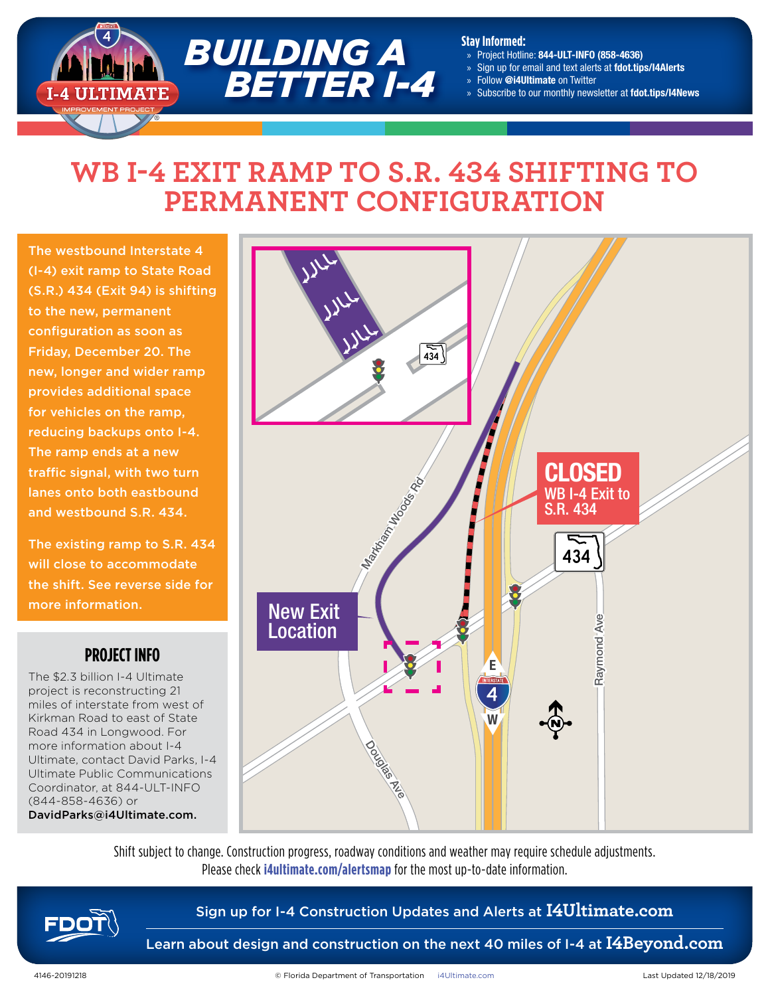

#### **Stay Informed:**

- » Project Hotline: 844-ULT-INFO (858-4636)
- » Sign up for email and text alerts at fdot.tips/I4Alerts
- » Follow @i4Ultimate on Twitter
- » Subscribe to our monthly newsletter at fdot.tips/I4News

## **WB I-4 EXIT RAMP TO S.R. 434 SHIFTING TO PERMANENT CONFIGURATION**

The westbound Interstate 4 (I-4) exit ramp to State Road (S.R.) 434 (Exit 94) is shifting to the new, permanent configuration as soon as Friday, December 20. The new, longer and wider ramp provides additional space for vehicles on the ramp, reducing backups onto I-4. The ramp ends at a new traffic signal, with two turn lanes onto both eastbound and westbound S.R. 434.

The existing ramp to S.R. 434 will close to accommodate the shift. See reverse side for more information.

## **PROJECT INFO**

The \$2.3 billion I-4 Ultimate project is reconstructing 21 miles of interstate from west of Kirkman Road to east of State Road 434 in Longwood. For more information about I-4 Ultimate, contact David Parks, I-4 Ultimate Public Communications Coordinator, at 844-ULT-INFO (844-858-4636) or DavidParks@i4Ultimate.com.



Shift subject to change. Construction progress, roadway conditions and weather may require schedule adjustments. Please check **i4ultimate.com/alertsmap** for the most up-to-date information.



## Sign up for I-4 Construction Updates and Alerts at **I4Ultimate.com**

Learn about design and construction on the next 40 miles of I-4 at **I4Beyond.com**